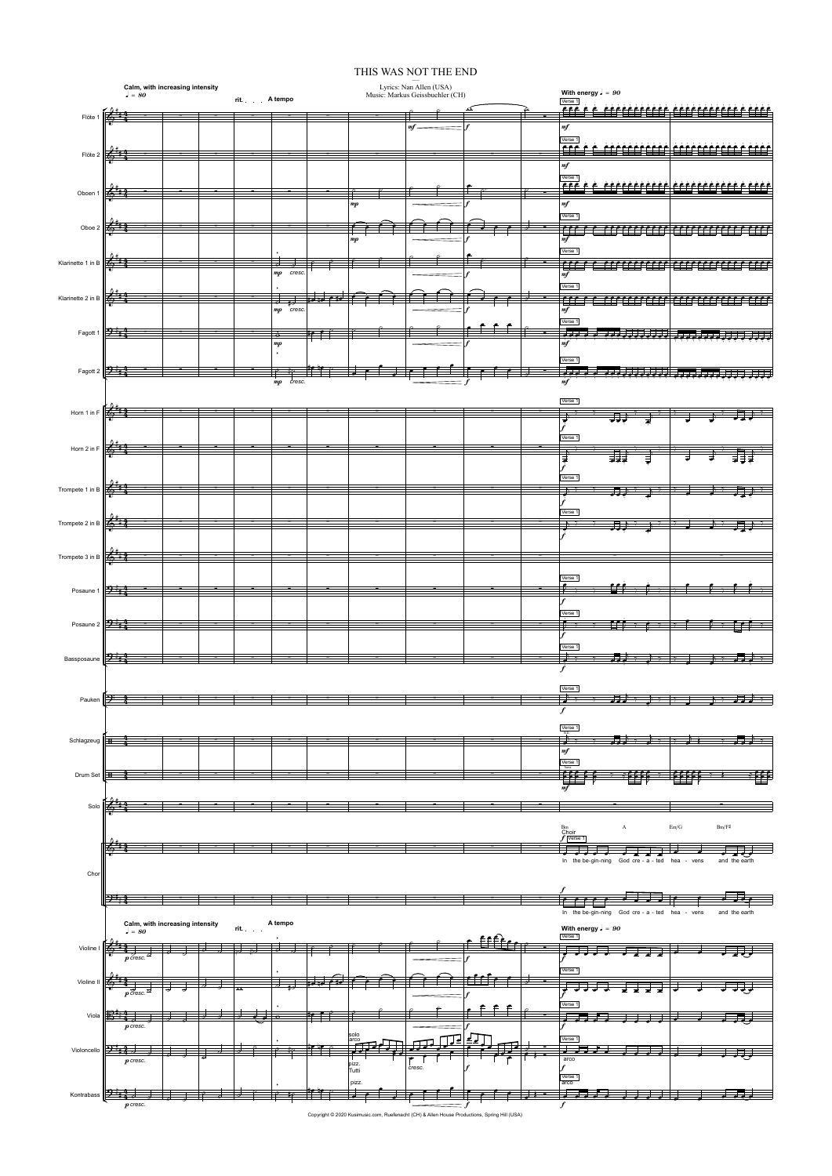Copyright © 2020 Kusimusic.com, Ruefenacht (CH) & Allen House Productions, Spring Hill (USA)

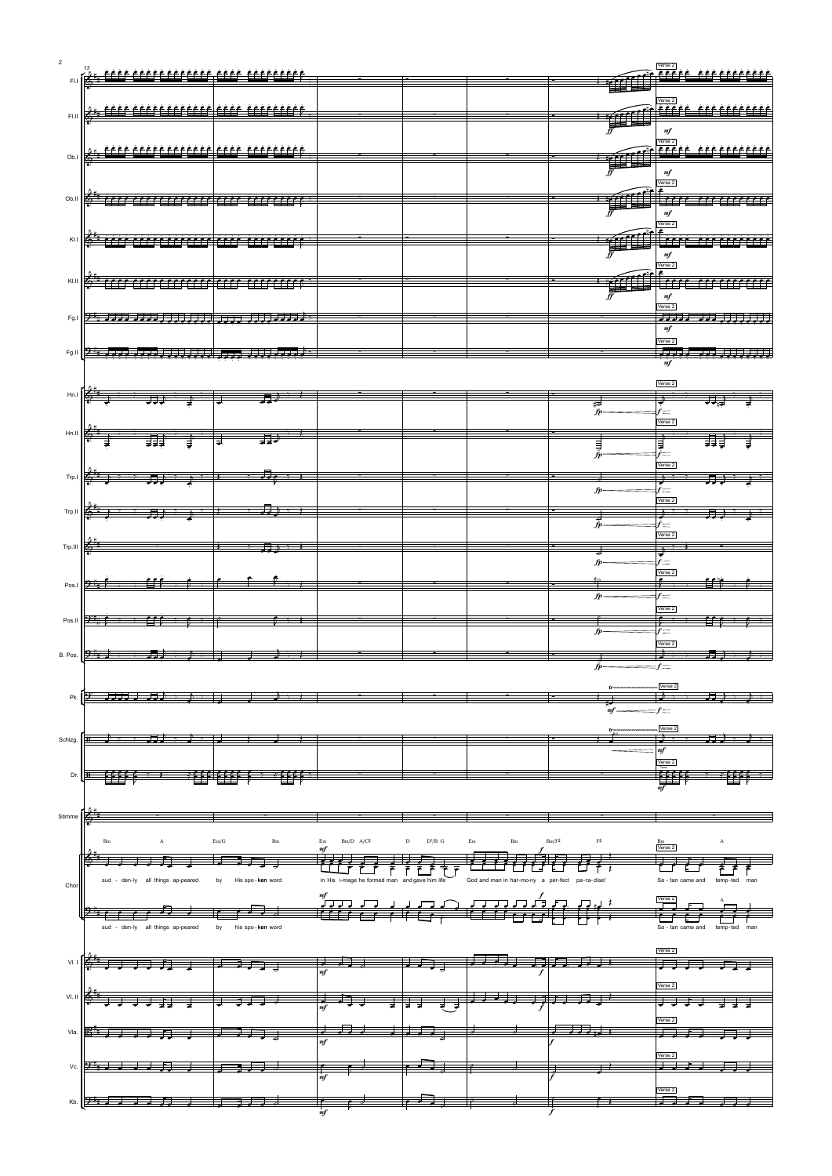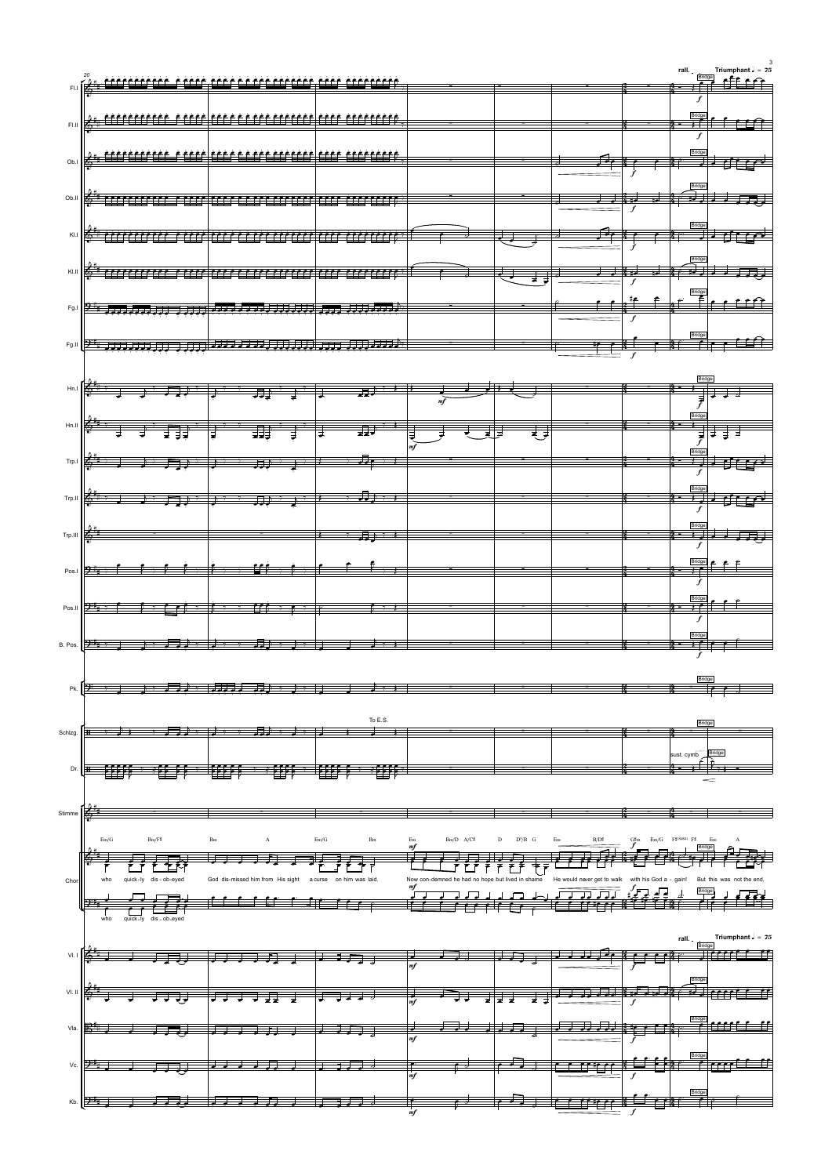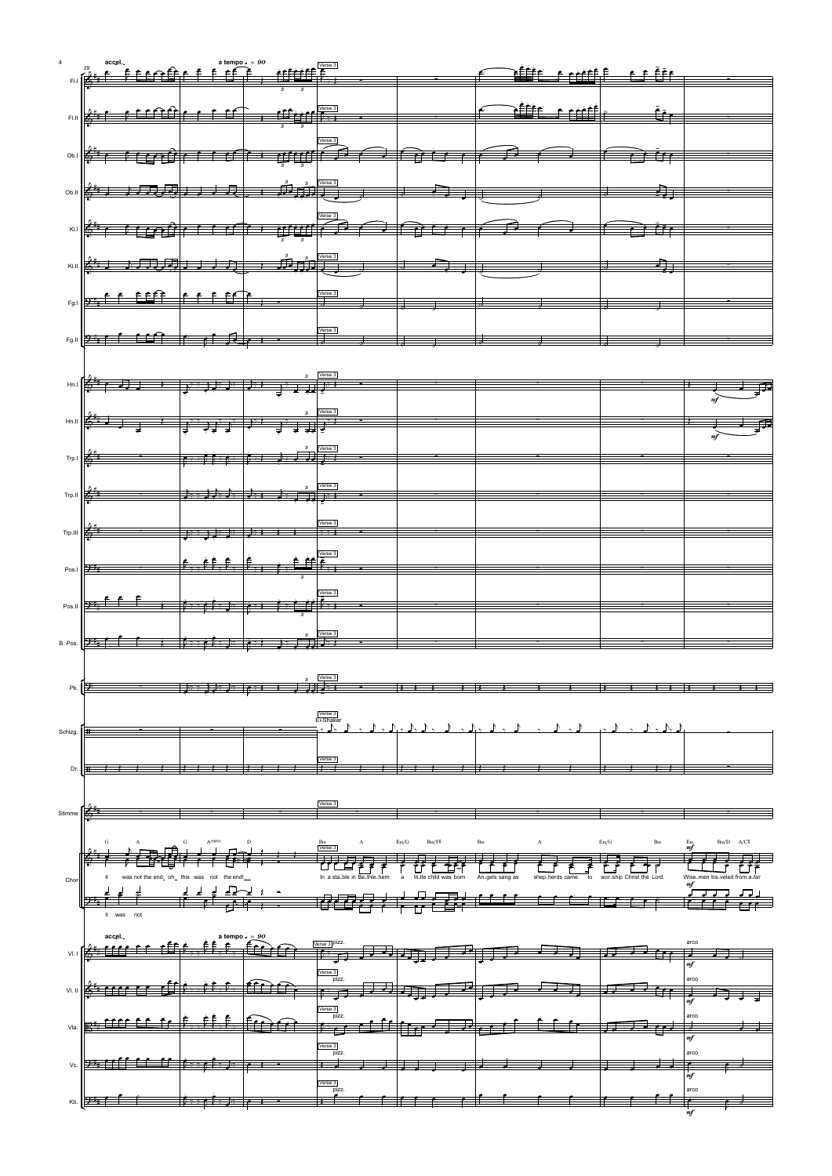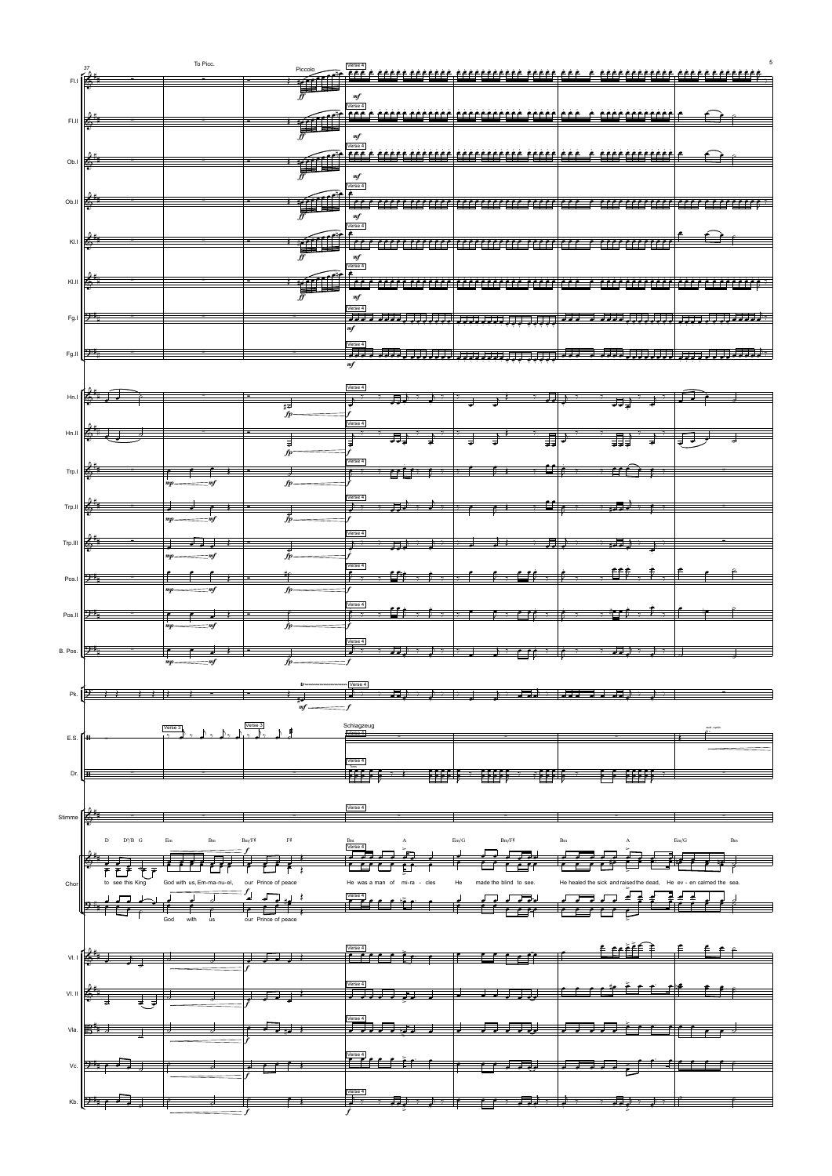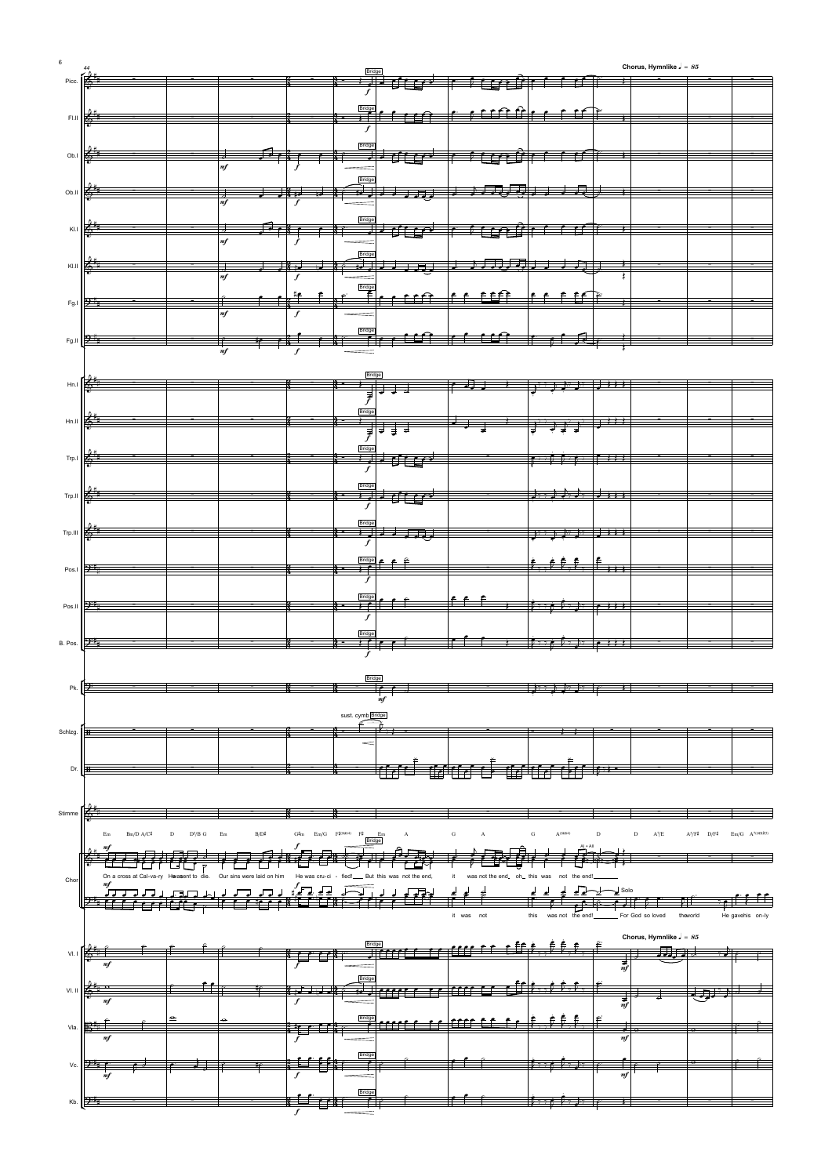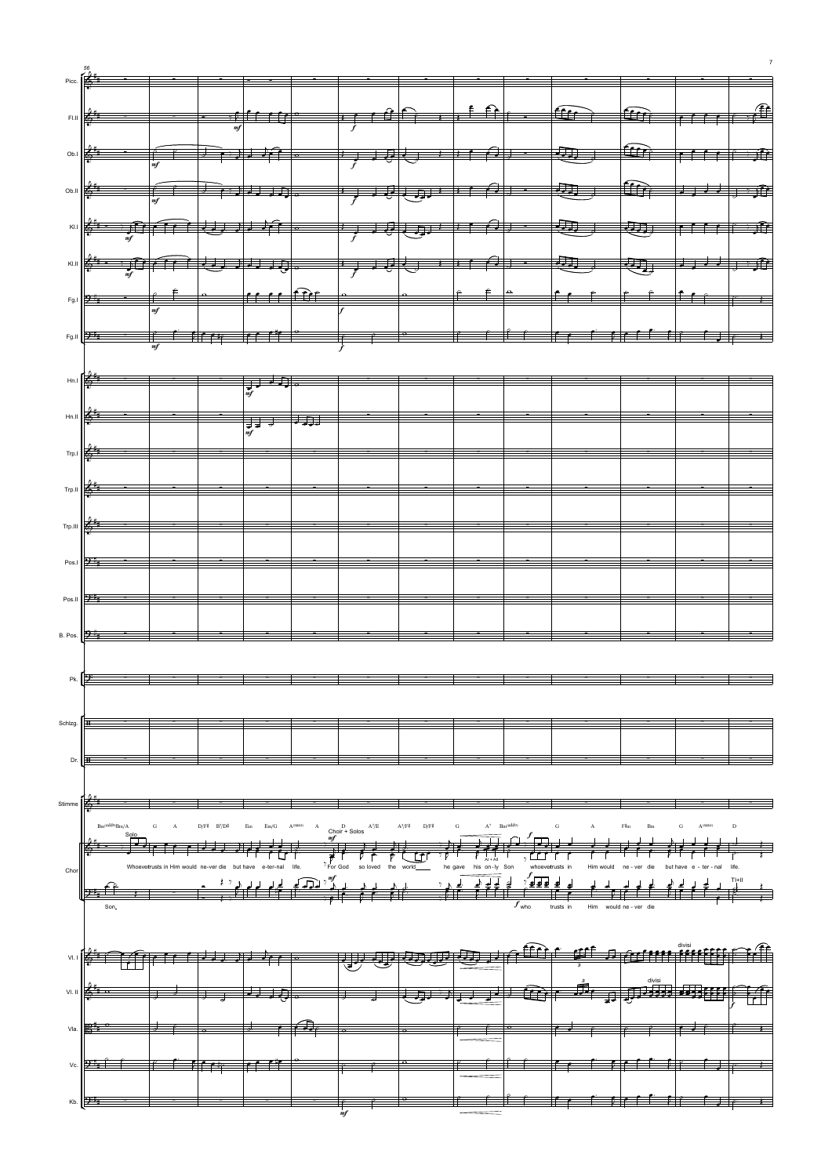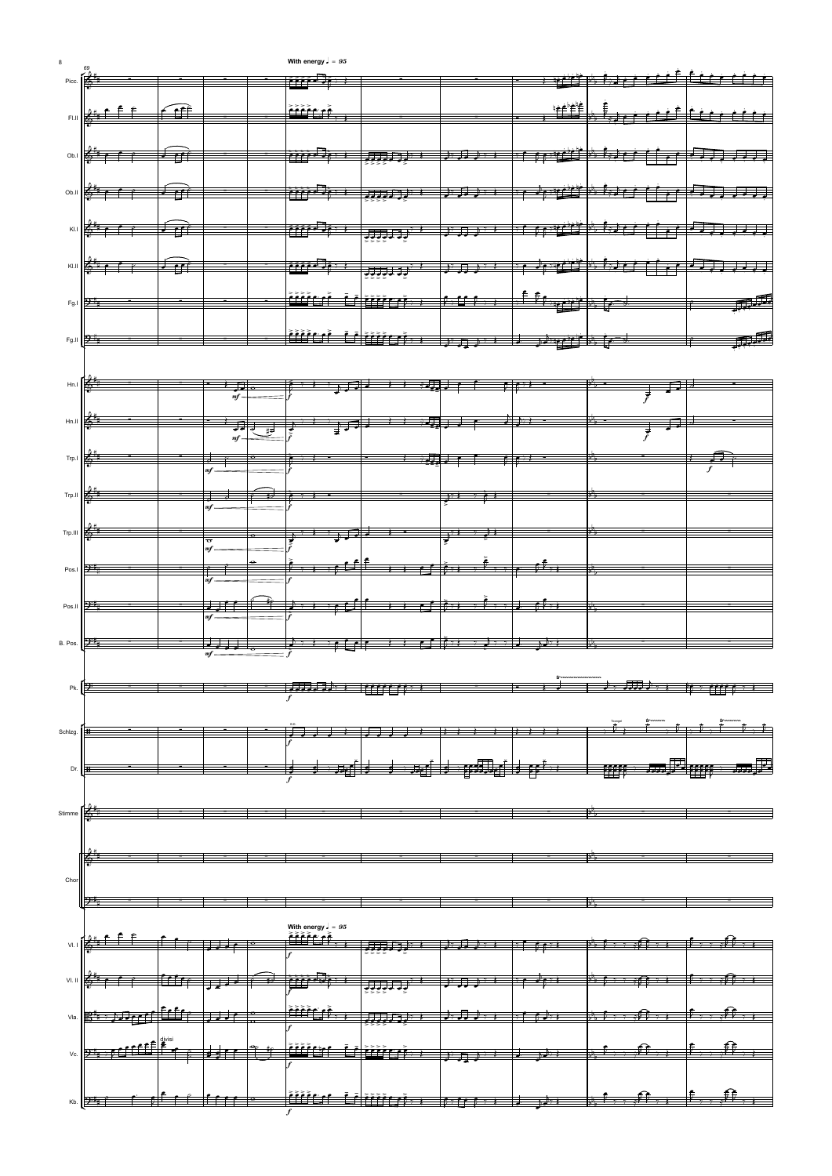

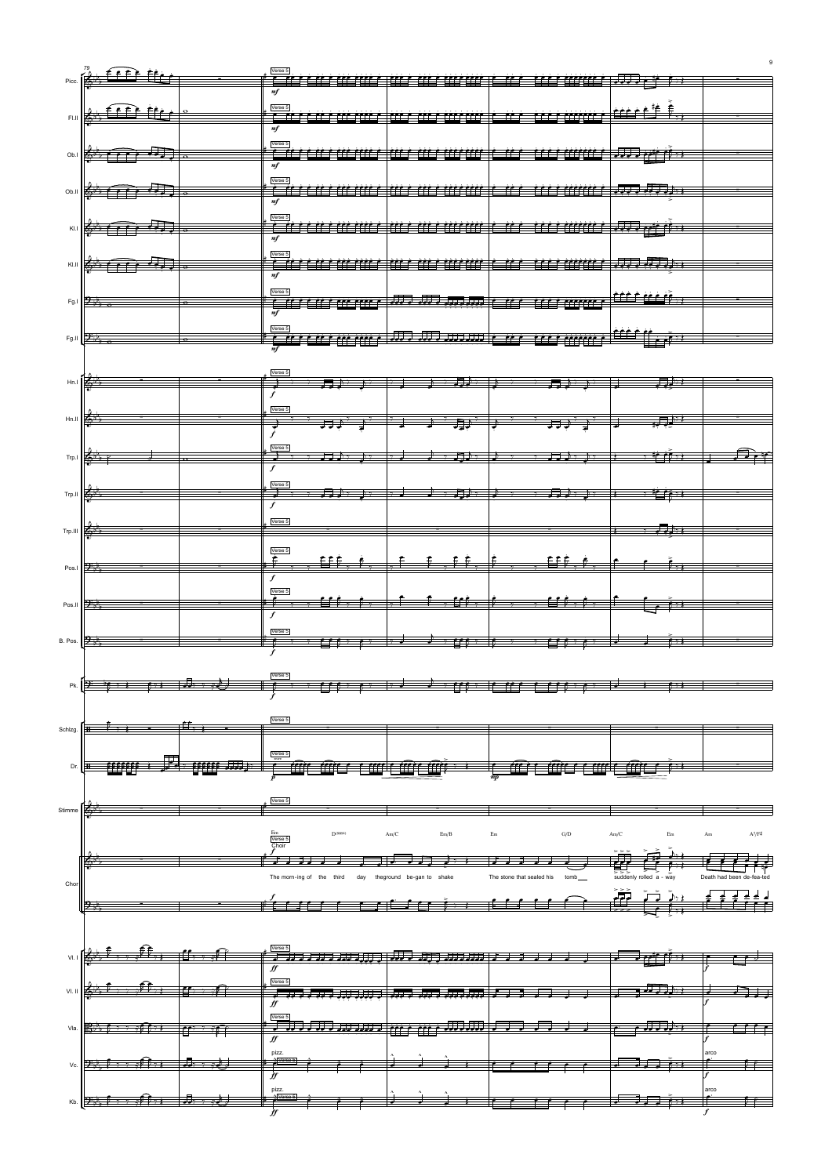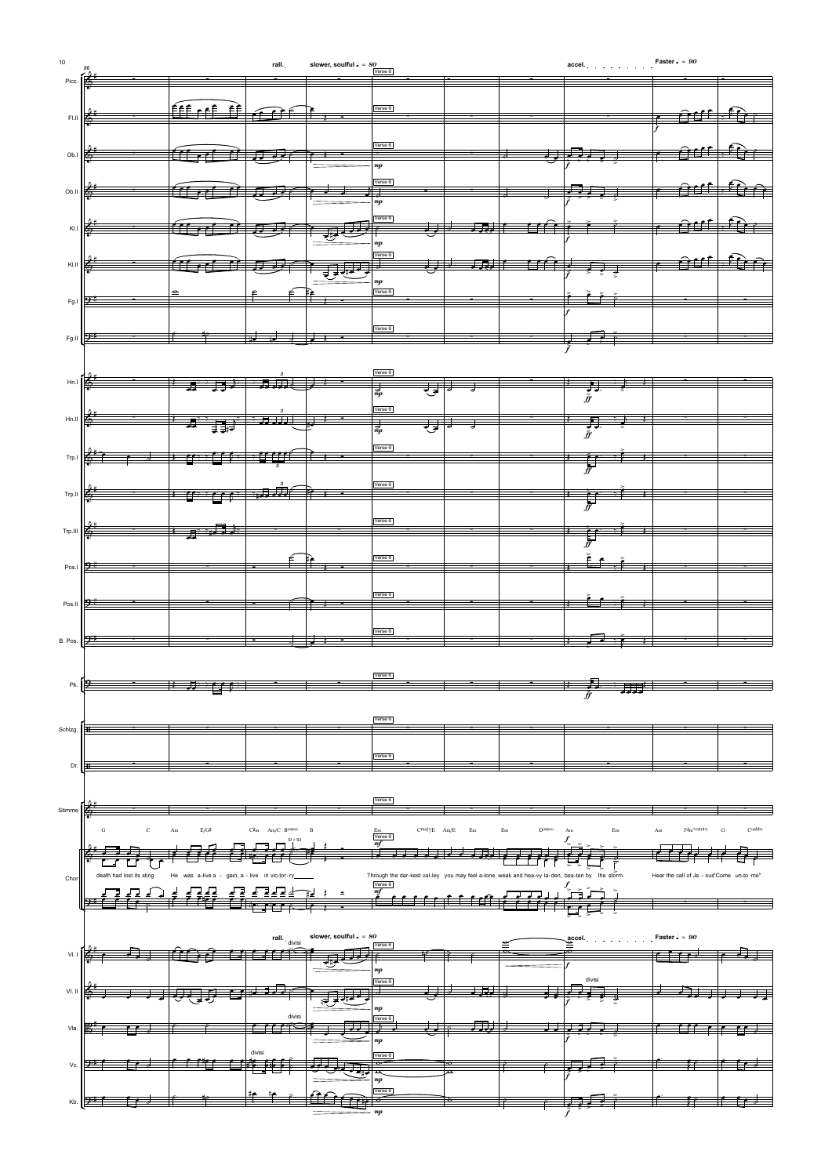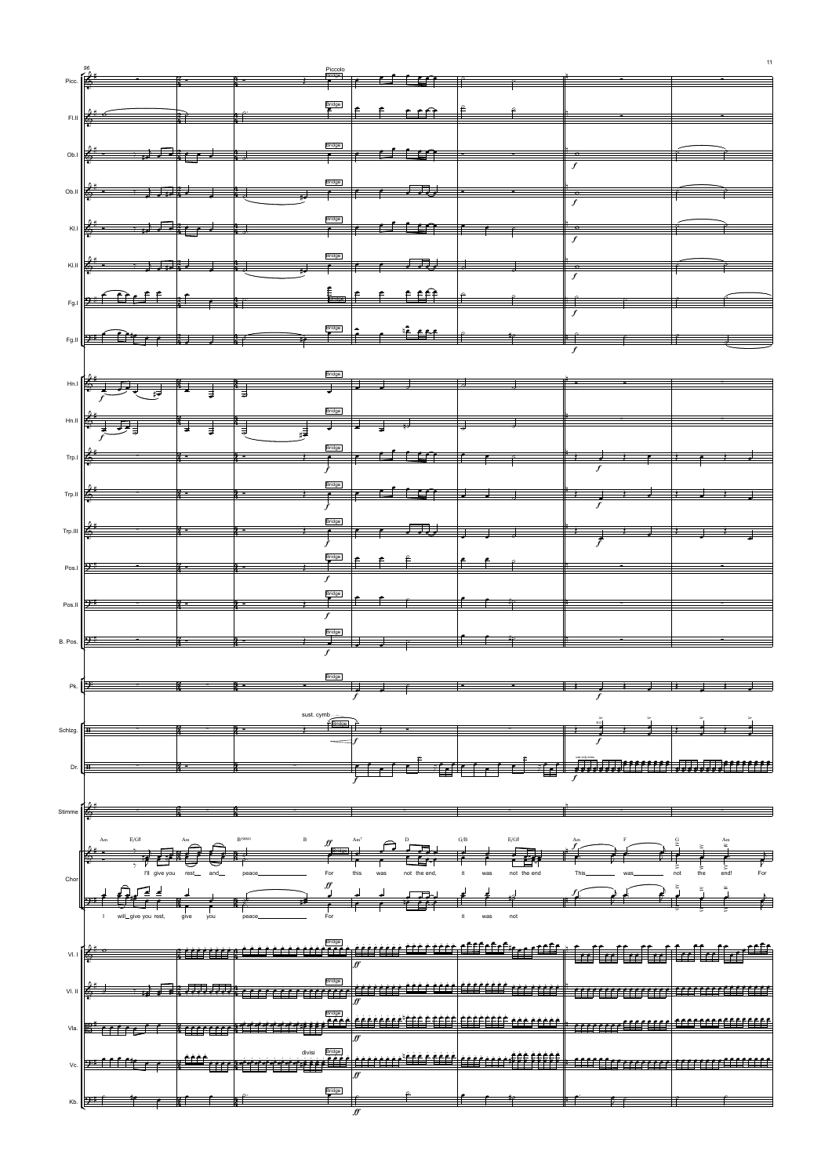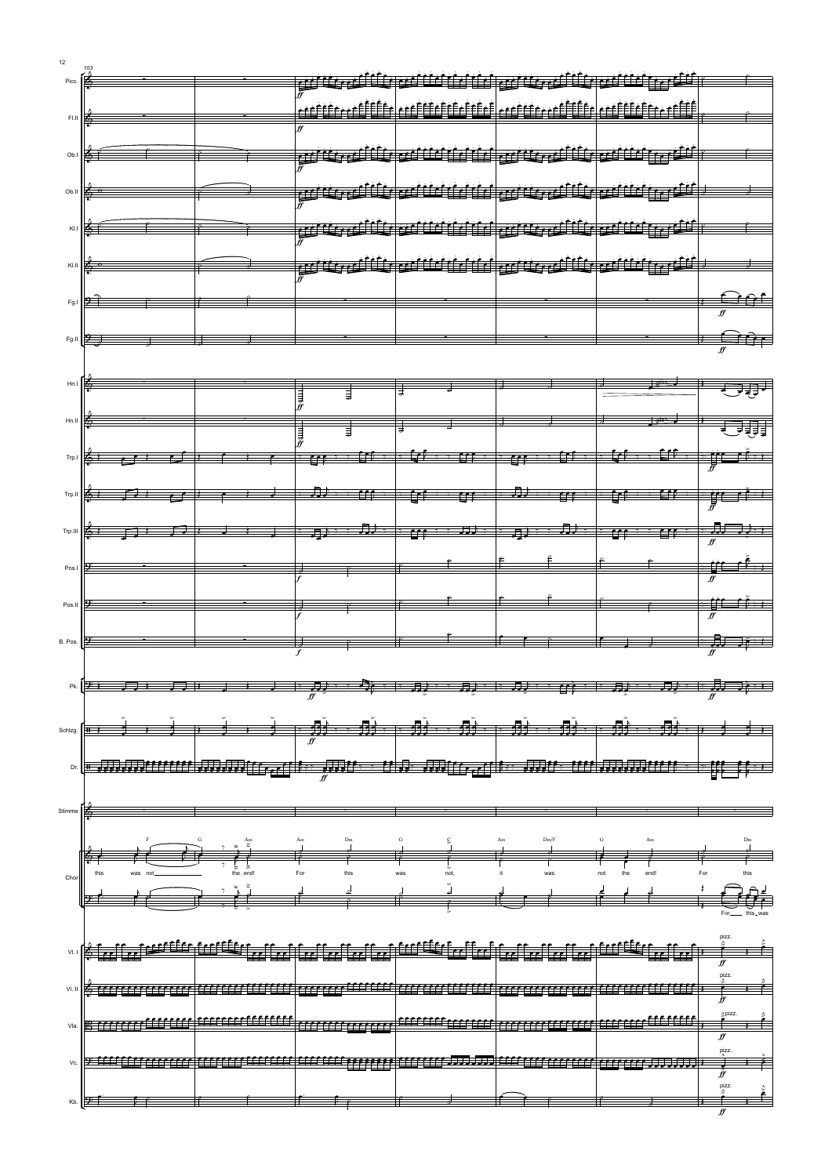f

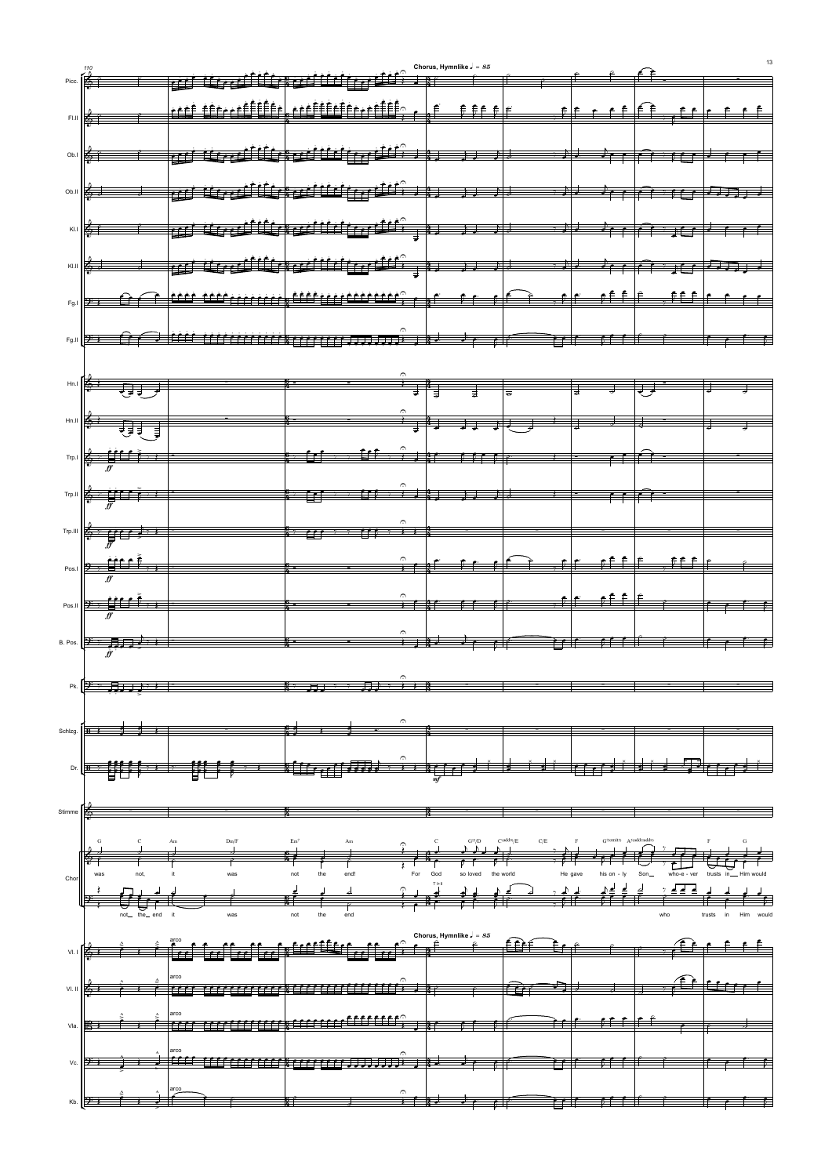